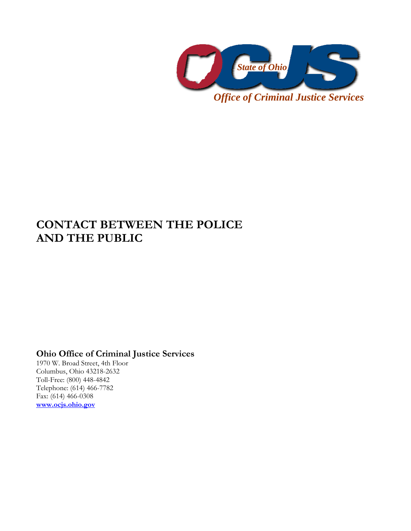

## **CONTACT BETWEEN THE POLICE AND THE PUBLIC**

## **Ohio Office of Criminal Justice Services**

1970 W. Broad Street, 4th Floor Columbus, Ohio 43218-2632 Toll-Free: (800) 448-4842 Telephone: (614) 466-7782 Fax: (614) 466-0308 **www.ocjs.ohio.gov**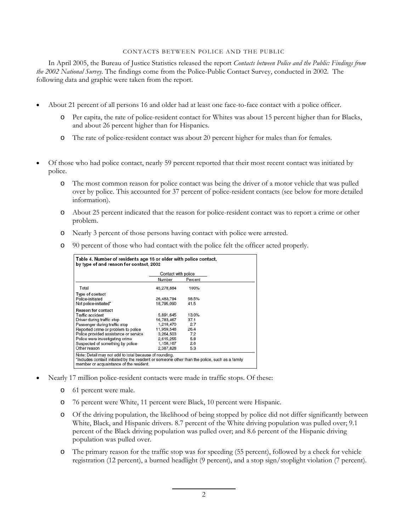## CONTACTS BETWEEN POLICE AND THE PUBLIC

In April 2005, the Bureau of Justice Statistics released the report *Contacts between Police and the Public: Findings from the 2002 National Survey.* The findings come from the Police-Public Contact Survey, conducted in 2002. The following data and graphic were taken from the report.

- About 21 percent of all persons 16 and older had at least one face-to-face contact with a police officer.
	- o Per capita, the rate of police-resident contact for Whites was about 15 percent higher than for Blacks, and about 26 percent higher than for Hispanics.
	- o The rate of police-resident contact was about 20 percent higher for males than for females.
- Of those who had police contact, nearly 59 percent reported that their most recent contact was initiated by police.
	- o The most common reason for police contact was being the driver of a motor vehicle that was pulled over by police. This accounted for 37 percent of police-resident contacts (see below for more detailed information).
	- o About 25 percent indicated that the reason for police-resident contact was to report a crime or other problem.
	- o Nearly 3 percent of those persons having contact with police were arrested.
	- o 90 percent of those who had contact with the police felt the officer acted properly.

|                                       | Contact with police |         |  |
|---------------------------------------|---------------------|---------|--|
|                                       | Number              | Percent |  |
| Total                                 | 45,278,884          | 100%    |  |
| Type of contact                       |                     |         |  |
| Police-initiated                      | 26,483,794          | 58.5%   |  |
| Not police-initiated*                 | 18,795,090          | 41.5    |  |
| <b>Reason for contact</b>             |                     |         |  |
| Traffic accident                      | 5,891,645           | 13.0%   |  |
| Driver during traffic stop            | 16.783.467          | 37.1    |  |
| Passenger during traffic stop         | 1,218,470           | 2.7     |  |
| Reported crime or problem to police   | 11,959,548          | 26.4    |  |
| Police provided assistance or service | 3,264,503           | 7.2     |  |
| Police were investigating crime       | 2.615.255           | 5.8     |  |
| Suspected of something by police      | 1,158,167           | 2.6     |  |
| Other reason                          | 2,387,828           | 5.3     |  |

- Nearly 17 million police-resident contacts were made in traffic stops. Of these:
	- o 61 percent were male.
	- o 76 percent were White, 11 percent were Black, 10 percent were Hispanic.
	- o Of the driving population, the likelihood of being stopped by police did not differ significantly between White, Black, and Hispanic drivers. 8.7 percent of the White driving population was pulled over; 9.1 percent of the Black driving population was pulled over; and 8.6 percent of the Hispanic driving population was pulled over.
	- o The primary reason for the traffic stop was for speeding (55 percent), followed by a check for vehicle registration (12 percent), a burned headlight (9 percent), and a stop sign/stoplight violation (7 percent).